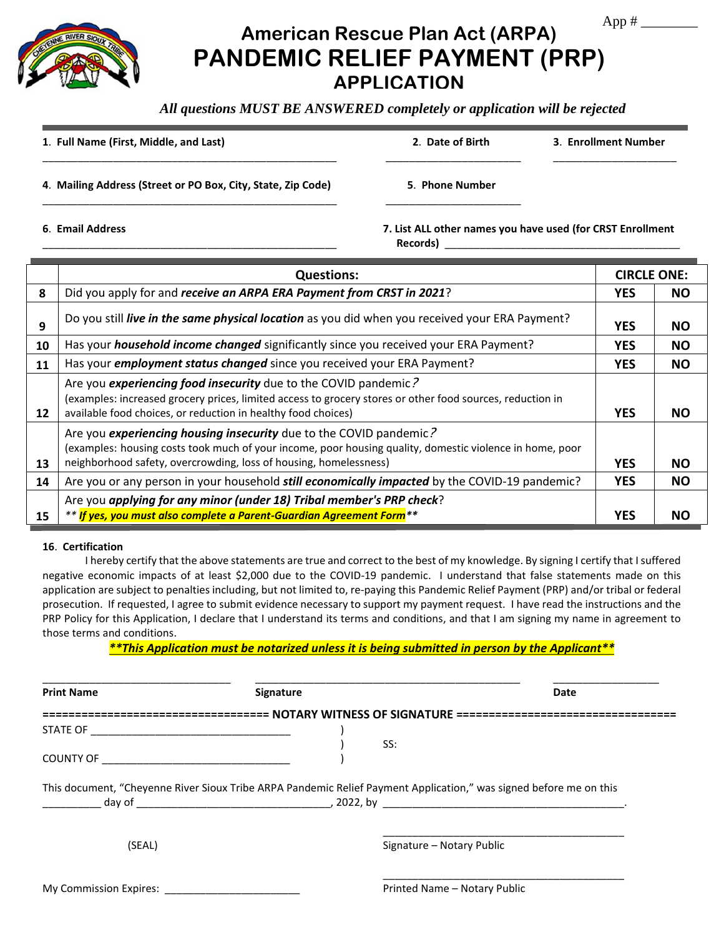App  $#$ 

## **American Rescue Plan Act (ARPA) PANDEMIC RELIEF PAYMENT (PRP) APPLICATION**

*All questions MUST BE ANSWERED completely or application will be rejected* 

**1**. **Full Name (First, Middle, and Last) 2**. **Date of Birth 3**. **Enrollment Number**

 $\Box$ 

**4**. **Mailing Address (Street or PO Box, City, State, Zip Code) 5**. **Phone Number**

\_\_\_\_\_\_\_\_\_\_\_\_\_\_\_\_\_\_\_\_\_\_\_\_\_\_\_\_\_\_\_\_\_\_\_\_\_\_\_\_\_\_\_\_\_\_\_\_\_\_ \_\_\_\_\_\_\_\_\_\_\_\_\_\_\_\_\_\_\_\_\_\_\_

**6**. **Email Address 7. List ALL other names you have used (for CRST Enrollment** Records) **Records** 

|    | <b>Questions:</b>                                                                                                                                                                                                                                   | <b>CIRCLE ONE:</b> |           |  |  |  |  |  |
|----|-----------------------------------------------------------------------------------------------------------------------------------------------------------------------------------------------------------------------------------------------------|--------------------|-----------|--|--|--|--|--|
| 8  | Did you apply for and receive an ARPA ERA Payment from CRST in 2021?                                                                                                                                                                                | <b>YES</b>         | <b>NO</b> |  |  |  |  |  |
| 9  | Do you still live in the same physical location as you did when you received your ERA Payment?                                                                                                                                                      | <b>YES</b>         | <b>NO</b> |  |  |  |  |  |
| 10 | Has your <i>household income changed</i> significantly since you received your ERA Payment?                                                                                                                                                         | <b>YES</b>         | <b>NO</b> |  |  |  |  |  |
| 11 | Has your <i>employment status changed</i> since you received your ERA Payment?                                                                                                                                                                      | <b>YES</b>         | <b>NO</b> |  |  |  |  |  |
| 12 | Are you experiencing food insecurity due to the COVID pandemic?<br>(examples: increased grocery prices, limited access to grocery stores or other food sources, reduction in<br>available food choices, or reduction in healthy food choices)       | <b>YES</b>         | <b>NO</b> |  |  |  |  |  |
| 13 | Are you experiencing housing insecurity due to the COVID pandemic?<br>(examples: housing costs took much of your income, poor housing quality, domestic violence in home, poor<br>neighborhood safety, overcrowding, loss of housing, homelessness) | <b>YES</b>         | <b>NO</b> |  |  |  |  |  |
| 14 | Are you or any person in your household <i>still economically impacted</i> by the COVID-19 pandemic?                                                                                                                                                | <b>YES</b>         | <b>NO</b> |  |  |  |  |  |
|    | Are you applying for any minor (under 18) Tribal member's PRP check?                                                                                                                                                                                |                    |           |  |  |  |  |  |
| 15 | ** If yes, you must also complete a Parent-Guardian Agreement Form <sup>**</sup>                                                                                                                                                                    | <b>YES</b>         | <b>NO</b> |  |  |  |  |  |
|    |                                                                                                                                                                                                                                                     |                    |           |  |  |  |  |  |

## **16**. **Certification**

I hereby certify that the above statements are true and correct to the best of my knowledge. By signing I certify that I suffered negative economic impacts of at least \$2,000 due to the COVID-19 pandemic. I understand that false statements made on this application are subject to penalties including, but not limited to, re-paying this Pandemic Relief Payment (PRP) and/or tribal or federal prosecution. If requested, I agree to submit evidence necessary to support my payment request. I have read the instructions and the PRP Policy for this Application, I declare that I understand its terms and conditions, and that I am signing my name in agreement to those terms and conditions.

*\*\*This Application must be notarized unless it is being submitted in person by the Applicant\*\**

| <b>Print Name</b>          | <b>Signature</b>                                                                                                   | Date                      |
|----------------------------|--------------------------------------------------------------------------------------------------------------------|---------------------------|
|                            | ==================================== NOTARY WITNESS OF SIGNATURE ===================================               |                           |
|                            |                                                                                                                    |                           |
|                            | SS:                                                                                                                |                           |
| COUNTY OF <b>COUNTY OF</b> |                                                                                                                    |                           |
|                            |                                                                                                                    |                           |
|                            | This document, "Cheyenne River Sioux Tribe ARPA Pandemic Relief Payment Application," was signed before me on this |                           |
| (SEAL)                     |                                                                                                                    | Signature - Notary Public |